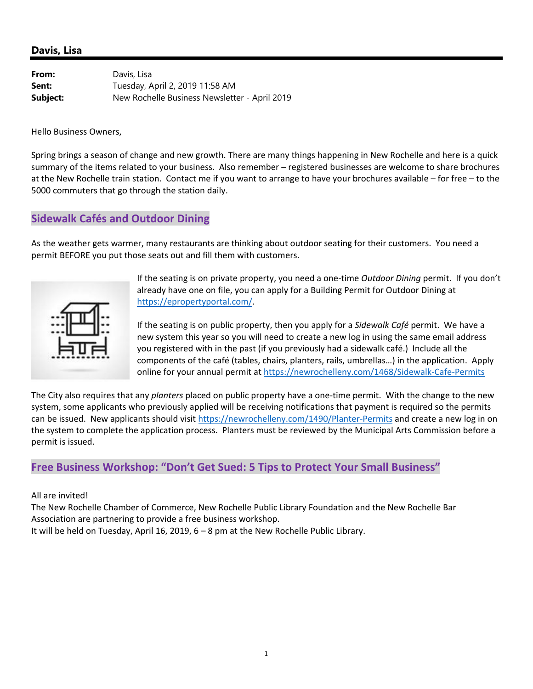#### **Davis, Lisa**

| From:    | Davis, Lisa                                   |
|----------|-----------------------------------------------|
| Sent:    | Tuesday, April 2, 2019 11:58 AM               |
| Subject: | New Rochelle Business Newsletter - April 2019 |

Hello Business Owners,

Spring brings a season of change and new growth. There are many things happening in New Rochelle and here is a quick summary of the items related to your business. Also remember – registered businesses are welcome to share brochures at the New Rochelle train station. Contact me if you want to arrange to have your brochures available – for free – to the 5000 commuters that go through the station daily.

### **Sidewalk Cafés and Outdoor Dining**

As the weather gets warmer, many restaurants are thinking about outdoor seating for their customers. You need a permit BEFORE you put those seats out and fill them with customers.



If the seating is on private property, you need a one‐time *Outdoor Dining* permit. If you don't already have one on file, you can apply for a Building Permit for Outdoor Dining at https://epropertyportal.com/.

If the seating is on public property, then you apply for a *Sidewalk Café* permit. We have a new system this year so you will need to create a new log in using the same email address you registered with in the past (if you previously had a sidewalk café.) Include all the components of the café (tables, chairs, planters, rails, umbrellas…) in the application. Apply online for your annual permit at https://newrochelleny.com/1468/Sidewalk‐Cafe‐Permits

The City also requires that any *planters* placed on public property have a one‐time permit. With the change to the new system, some applicants who previously applied will be receiving notifications that payment is required so the permits can be issued. New applicants should visit https://newrochelleny.com/1490/Planter‐Permits and create a new log in on the system to complete the application process. Planters must be reviewed by the Municipal Arts Commission before a permit is issued.

### **Free Business Workshop: "Don't Get Sued: 5 Tips to Protect Your Small Business"**

All are invited!

The New Rochelle Chamber of Commerce, New Rochelle Public Library Foundation and the New Rochelle Bar Association are partnering to provide a free business workshop.

It will be held on Tuesday, April 16, 2019, 6 – 8 pm at the New Rochelle Public Library.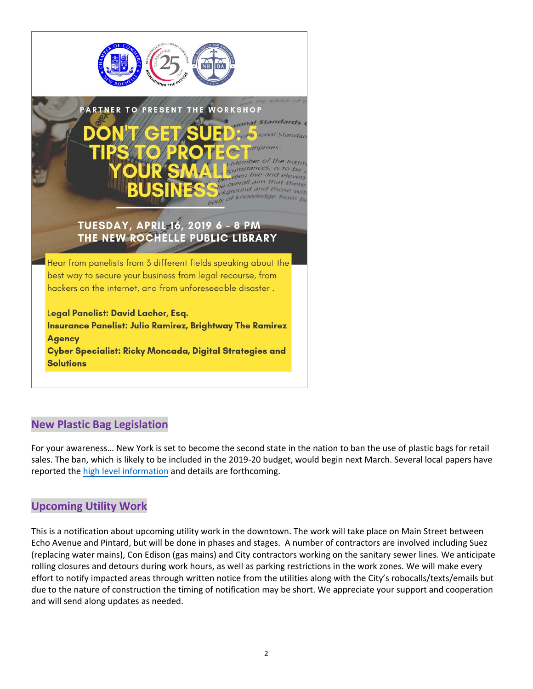

## **New Plastic Bag Legislation**

For your awareness… New York is set to become the second state in the nation to ban the use of plastic bags for retail sales. The ban, which is likely to be included in the 2019-20 budget, would begin next March. Several local papers have reported the high level information and details are forthcoming.

## **Upcoming Utility Work**

This is a notification about upcoming utility work in the downtown. The work will take place on Main Street between Echo Avenue and Pintard, but will be done in phases and stages. A number of contractors are involved including Suez (replacing water mains), Con Edison (gas mains) and City contractors working on the sanitary sewer lines. We anticipate rolling closures and detours during work hours, as well as parking restrictions in the work zones. We will make every effort to notify impacted areas through written notice from the utilities along with the City's robocalls/texts/emails but due to the nature of construction the timing of notification may be short. We appreciate your support and cooperation and will send along updates as needed.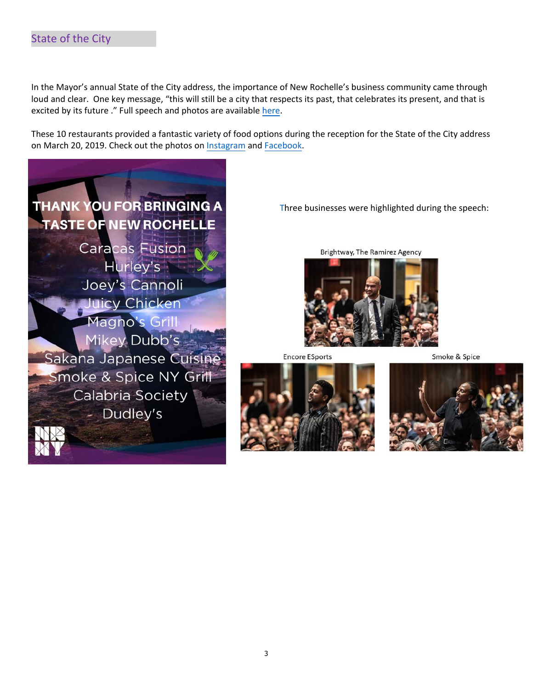In the Mayor's annual State of the City address, the importance of New Rochelle's business community came through loud and clear. One key message, "this will still be a city that respects its past, that celebrates its present, and that is excited by its future ." Full speech and photos are available here.

These 10 restaurants provided a fantastic variety of food options during the reception for the State of the City address on March 20, 2019. Check out the photos on Instagram and Facebook.



Three businesses were highlighted during the speech:

Brightway, The Ramirez Agency



**Encore ESports** 

Smoke & Spice



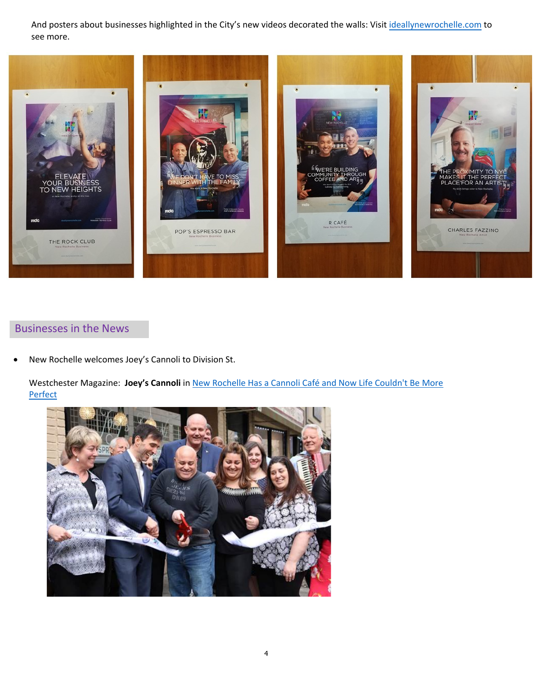And posters about businesses highlighted in the City's new videos decorated the walls: Visit ideallynewrochelle.com to see more.



# Businesses in the News

New Rochelle welcomes Joey's Cannoli to Division St.

Westchester Magazine: **Joey's Cannoli** in New Rochelle Has a Cannoli Café and Now Life Couldn't Be More **Perfect**